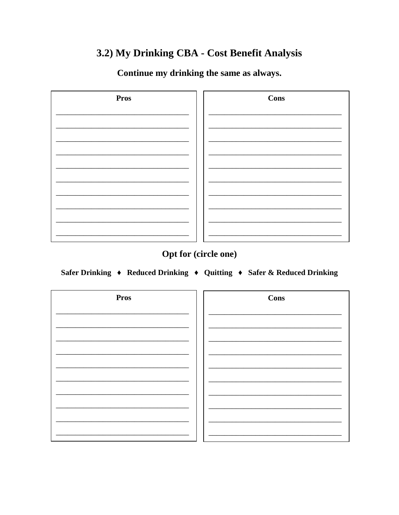# 3.2) My Drinking CBA - Cost Benefit Analysis



## Continue my drinking the same as always.

## **Opt for (circle one)**

#### Safer Drinking ♦ Reduced Drinking ♦ Quitting ♦ Safer & Reduced Drinking

| <b>Pros</b> | <b>Cons</b> |
|-------------|-------------|
|             |             |
|             |             |
|             |             |
|             |             |
|             |             |
|             |             |
|             |             |
|             |             |
|             |             |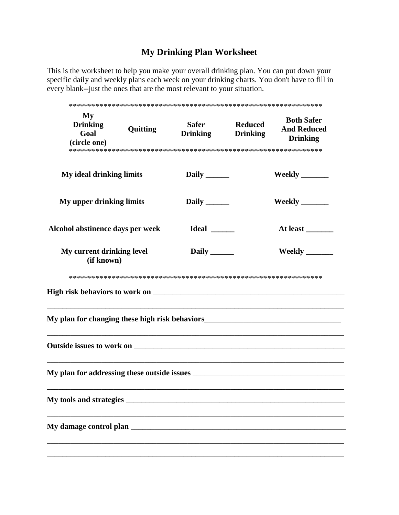## **My Drinking Plan Worksheet**

This is the worksheet to help you make your overall drinking plan. You can put down your specific daily and weekly plans each week on your drinking charts. You don't have to fill in every blank--just the ones that are the most relevant to your situation.

| My<br><b>Both Safer</b><br><b>Safer</b><br><b>Reduced</b><br><b>Drinking</b><br>Quitting<br><b>And Reduced</b><br><b>Drinking</b><br>Goal<br><b>Drinking</b><br><b>Drinking</b><br>(circle one)<br><b>My ideal drinking limits</b><br>My upper drinking limits<br>Ideal<br>At least<br>Alcohol abstinence days per week<br>My current drinking level<br>$Weekly \_\_$<br>(if known) |  |  |  |  |  |
|-------------------------------------------------------------------------------------------------------------------------------------------------------------------------------------------------------------------------------------------------------------------------------------------------------------------------------------------------------------------------------------|--|--|--|--|--|
|                                                                                                                                                                                                                                                                                                                                                                                     |  |  |  |  |  |
|                                                                                                                                                                                                                                                                                                                                                                                     |  |  |  |  |  |
|                                                                                                                                                                                                                                                                                                                                                                                     |  |  |  |  |  |
|                                                                                                                                                                                                                                                                                                                                                                                     |  |  |  |  |  |
|                                                                                                                                                                                                                                                                                                                                                                                     |  |  |  |  |  |
|                                                                                                                                                                                                                                                                                                                                                                                     |  |  |  |  |  |
|                                                                                                                                                                                                                                                                                                                                                                                     |  |  |  |  |  |
|                                                                                                                                                                                                                                                                                                                                                                                     |  |  |  |  |  |
|                                                                                                                                                                                                                                                                                                                                                                                     |  |  |  |  |  |
|                                                                                                                                                                                                                                                                                                                                                                                     |  |  |  |  |  |
|                                                                                                                                                                                                                                                                                                                                                                                     |  |  |  |  |  |
|                                                                                                                                                                                                                                                                                                                                                                                     |  |  |  |  |  |
|                                                                                                                                                                                                                                                                                                                                                                                     |  |  |  |  |  |
|                                                                                                                                                                                                                                                                                                                                                                                     |  |  |  |  |  |
|                                                                                                                                                                                                                                                                                                                                                                                     |  |  |  |  |  |
|                                                                                                                                                                                                                                                                                                                                                                                     |  |  |  |  |  |